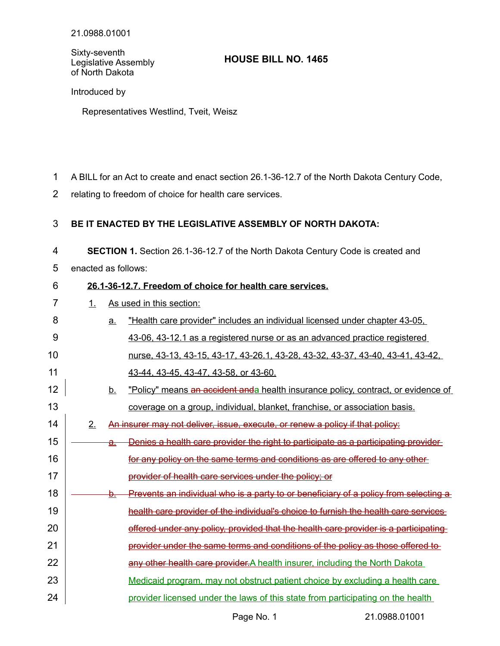Sixty-seventh Legislative Assembly of North Dakota

## **HOUSE BILL NO. 1465**

Introduced by

Representatives Westlind, Tveit, Weisz

- A BILL for an Act to create and enact section 26.1-36-12.7 of the North Dakota Century Code, 1
- relating to freedom of choice for health care services. 2

## **BE IT ENACTED BY THE LEGISLATIVE ASSEMBLY OF NORTH DAKOTA:** 3

**SECTION 1.** Section 26.1-36-12.7 of the North Dakota Century Code is created and 4

enacted as follows: 5

24

## **26.1 - 36 - 12.7. Freedom of choice for health care services.** 6

- 1. As used in this section: 7
- a. "Health care provider" includes an individual licensed under chapter 43-05. 43-06, 43-12.1 as a registered nurse or as an advanced practice registered nurse, 43-13, 43-15, 43-17, 43-26.1, 43-28, 43-32, 43-37, 43-40, 43-41, 43-42, 43-44, 43-45, 43-47, 43-58, or 43-60. b. "Policy" means an accident and a health insurance policy, contract, or evidence of coverage on a group, individual, blanket, franchise, or association basis. 2. An insurer may not deliver, issue, execute, or renew a policy if that policy: a. Denies a health care provider the right to participate as a participating provider for any policy on the same terms and conditions as are offered to any other provider of health care services under the policy; or b. Prevents an individual who is a party to or beneficiary of a policy from selecting a health care provider of the individual's choice to furnish the health care services offered under any policy, provided that the health care provider is a participating provider under the same terms and conditions of the policy as those offered to any other health care provider. A health insurer, including the North Dakota Medicaid program, may not obstruct patient choice by excluding a health care 8 9 10 11 12 13 14 15 16 17 18 19 20 21 22 23
	- provider licensed under the laws of this state from participating on the health